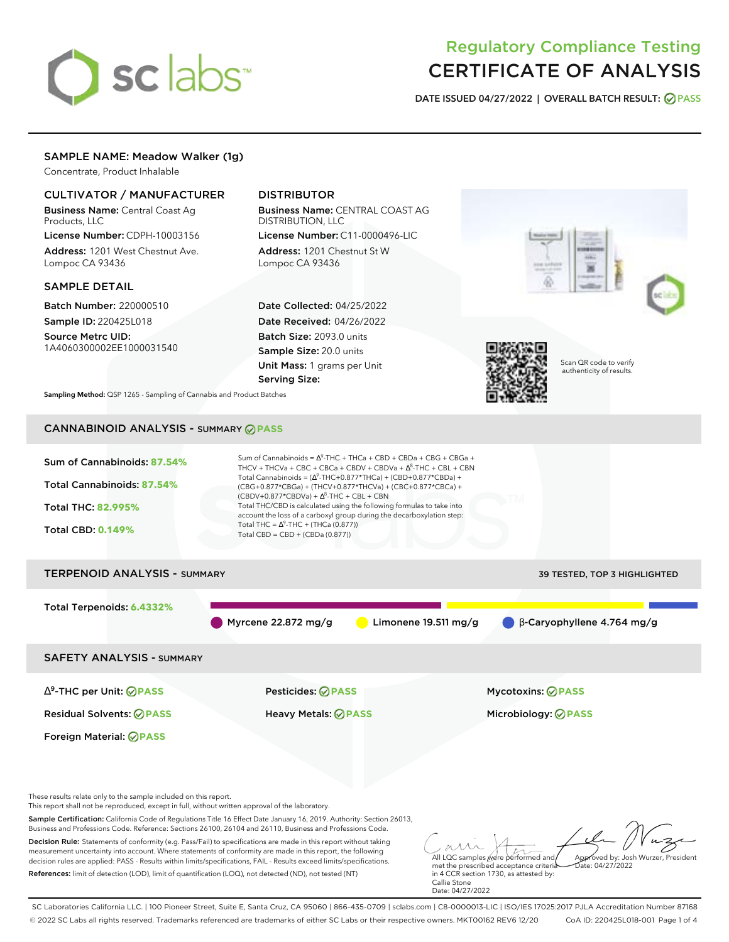# sclabs<sup>\*</sup>

# Regulatory Compliance Testing CERTIFICATE OF ANALYSIS

**DATE ISSUED 04/27/2022 | OVERALL BATCH RESULT: PASS**

# SAMPLE NAME: Meadow Walker (1g)

Concentrate, Product Inhalable

# CULTIVATOR / MANUFACTURER

Business Name: Central Coast Ag Products, LLC

License Number: CDPH-10003156 Address: 1201 West Chestnut Ave. Lompoc CA 93436

### SAMPLE DETAIL

Batch Number: 220000510 Sample ID: 220425L018

Source Metrc UID: 1A4060300002EE1000031540

# DISTRIBUTOR

Business Name: CENTRAL COAST AG DISTRIBUTION, LLC License Number: C11-0000496-LIC

Address: 1201 Chestnut St W Lompoc CA 93436

Date Collected: 04/25/2022 Date Received: 04/26/2022 Batch Size: 2093.0 units Sample Size: 20.0 units Unit Mass: 1 grams per Unit Serving Size:



**Sampling Method:** QSP 1265 - Sampling of Cannabis and Product Batches

# CANNABINOID ANALYSIS - SUMMARY **PASS**



These results relate only to the sample included on this report.

This report shall not be reproduced, except in full, without written approval of the laboratory.

Sample Certification: California Code of Regulations Title 16 Effect Date January 16, 2019. Authority: Section 26013, Business and Professions Code. Reference: Sections 26100, 26104 and 26110, Business and Professions Code.

Decision Rule: Statements of conformity (e.g. Pass/Fail) to specifications are made in this report without taking measurement uncertainty into account. Where statements of conformity are made in this report, the following decision rules are applied: PASS - Results within limits/specifications, FAIL - Results exceed limits/specifications. References: limit of detection (LOD), limit of quantification (LOQ), not detected (ND), not tested (NT)

All LQC samples were performed and met the prescribed acceptance criteria Approved by: Josh Wurzer, President  $hat: 04/27/2022$ 

in 4 CCR section 1730, as attested by: Callie Stone Date: 04/27/2022

SC Laboratories California LLC. | 100 Pioneer Street, Suite E, Santa Cruz, CA 95060 | 866-435-0709 | sclabs.com | C8-0000013-LIC | ISO/IES 17025:2017 PJLA Accreditation Number 87168 © 2022 SC Labs all rights reserved. Trademarks referenced are trademarks of either SC Labs or their respective owners. MKT00162 REV6 12/20 CoA ID: 220425L018-001 Page 1 of 4